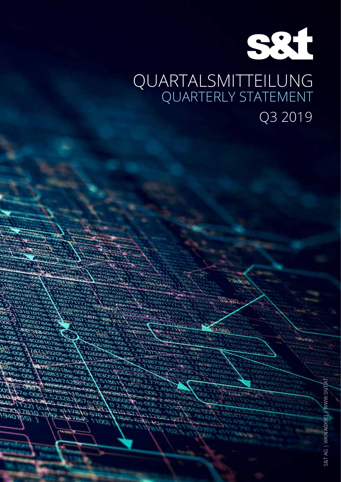

# QUARTALSMITTEILUNG QUARTERLY STATEMENT Q3 2019

 $252$ 

580.3.

יר כ ЮE Юť

 $22$ ) (curve

 $4473810$ 

 $4384$ 

 $570 - 12$ 

 $\omega$ 

פנ

1940165101092

55)

УCУ Aе

OPEI

en.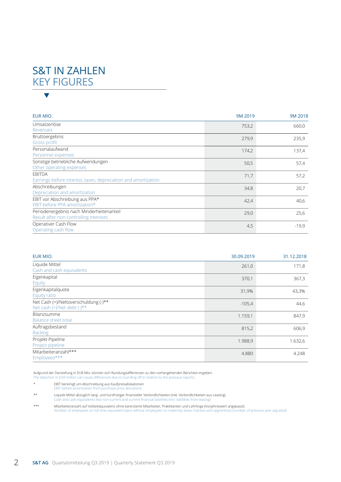# S&T IN ZAHLEN KEY FIGURES  $\blacktriangledown$

| EUR MIO.                                                                           | 9M 2019 | 9M 2018 |
|------------------------------------------------------------------------------------|---------|---------|
| Umsatzerlöse<br>Revenues                                                           | 753,2   | 660,0   |
| Bruttoergebnis<br>Gross profit                                                     | 279,9   | 235,9   |
| Personalaufwand<br>Personnel expenses                                              | 174,2   | 137,4   |
| Sonstige betriebliche Aufwendungen<br>Other operating expenses                     | 50,5    | 57,4    |
| <b>EBITDA</b><br>Earnings before interest, taxes, depreciation and amortization    | 71,7    | 57,2    |
| Abschreibungen<br>Depreciation and amortization                                    | 34,8    | 20,7    |
| EBIT vor Abschreibung aus PPA*<br>EBIT before PPA amortization*                    | 42,4    | 40,6    |
| Periodenergebnis nach Minderheitenanteil<br>Result after non-controlling interests | 29,0    | 25,6    |
| Operativer Cash Flow<br>Operating cash flow                                        | 4,5     | $-19,9$ |

| EUR MIO.                                                            | 30.09.2019 | 31.12.2018 |
|---------------------------------------------------------------------|------------|------------|
| Liquide Mittel<br>Cash and cash equivalents                         | 261,0      | 171,8      |
| Eigenkapital<br>Equity                                              | 370,1      | 367,3      |
| Eigenkapitalquote<br>Equity ratio                                   | 31,9%      | 43,3%      |
| Net Cash (+)/Nettoverschuldung (-)**<br>Net cash (+)/Net debt (-)** | $-105,4$   | 44,6       |
| Bilanzsumme<br>Balance sheet total                                  | 1.159,1    | 847.9      |
| Auftragsbestand<br><b>Backlog</b>                                   | 815,2      | 606,9      |
| Projekt-Pipeline<br>Project pipeline                                | 1.988,9    | 1.632,6    |
| Mitarbeiteranzahl***<br>Employees***                                | 4.880      | 4.248      |

Aufgrund der Darstellung in EUR Mio. können sich Rundungsdifferenzen zu den vorhergehenden Berichten ergeben. The depiction in EUR million can cause differences due to rounding off in relation to the previous reports.

\* EBIT bereinigt um Abschreibung aus Kaufpreisallokationen EBIT before amortization from purchase price allocations

\*\* Liquide Mittel abzüglich lang- und kurzfristiger finanzieller Verbindlichkeiten (inkl. Verbindlichkeiten aus Leasing) Cash and cash equivalents less non-current and current financial liabilities (incl. liabilities from leasing)

\*\*\* Mitarbeiteranzahl auf Vollzeitäquivalenz ohne karenzierte Mitarbeiter, Praktikanten und Lehrlinge (Vorjahreswert angepasst) Number of employees on full time equivalent basis without employees on maternity leave, trainees and apprentices (number of previous year adjusted)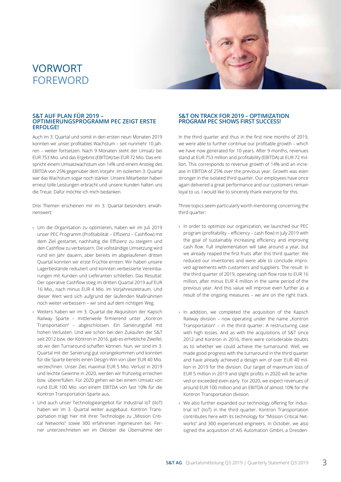# VORWORT FOREWORD



#### **S&T AUF PLAN FÜR 2019 – OPTIMIERUNGSPROGRAMM PEC ZEIGT ERSTE ERFOLGE!**

Auch im 3. Quartal und somit in den ersten neun Monaten 2019 konnten wir unser profitables Wachstum – seit nunmehr 10 Jahren – weiter fortsetzen. Nach 9 Monaten steht der Umsatz bei EUR 753 Mio. und das Ergebnis (EBITDA) bei EUR 72 Mio. Das entspricht einem Umsatzwachstum von 14% und einem Anstieg des EBITDA von 25% gegenüber dem Vorjahr. Im isolierten 3. Quartal war das Wachstum sogar noch stärker. Unsere Mitarbeiter haben erneut tolle Leistungen erbracht und unsere Kunden halten uns die Treue. Dafür möchte ich mich bedanken.

Drei Themen erscheinen mir im 3. Quartal besonders erwähnenswert:

- › Um die Organisation zu optimieren, haben wir im Juli 2019 unser PEC Programm (Profitabilität – Effizienz – Cashflow) mit dem Ziel gestartet, nachhaltig die Effizienz zu steigern und den Cashflow zu verbessern. Die vollständige Umsetzung wird rund ein Jahr dauern, aber bereits im abgelaufenen dritten Quartal konnten wir erste Früchte ernten: Wir haben unsere Lagerbestände reduziert und konnten verbesserte Vereinbarungen mit Kunden und Lieferanten schließen. Das Resultat: Der operative Cashflow stieg im dritten Quartal 2019 auf EUR 16 Mio., nach minus EUR 4 Mio. im Vorjahreszeitraum. Und dieser Wert wird sich aufgrund der laufenden Maßnahmen noch weiter verbessern – wir sind auf dem richtigen Weg.
- › Weiters haben wir im 3. Quartal die Akquisition der Kapsch Railway Sparte - mittlerweile firmierend unter "Kontron Transportation" – abgeschlossen. Ein Sanierungsfall mit hohen Verlusten. Und wie schon bei den Zukäufen der S&T seit 2012 bzw. der Kontron in 2016, gab es erhebliche Zweifel, ob wir den Turnaround schaffen können. Nun, wir sind im 3. Quartal mit der Sanierung gut vorangekommen und konnten für die Sparte bereits einen Design-Win von über EUR 40 Mio. verzeichnen. Unser Ziel, maximal EUR 5 Mio. Verlust in 2019 und leichte Gewinne in 2020, werden wir frühzeitig erreichen bzw. übererfüllen. Für 2020 gehen wir bei einem Umsatz von rund EUR 100 Mio. von einem EBITDA von fast 10% für die Kontron Transportation Sparte aus.
- › Und auch unser Technologieangebot für Industrial IoT (IIoT) haben wir im 3. Quartal weiter ausgebaut. Kontron Transportation trägt hier mit ihrer Technologie zu "Mission Critical Networks" sowie 300 erfahrenen Ingenieuren bei. Ferner unterzeichneten wir im Oktober die Übernahme der

### **S&T ON TRACK FOR 2019 – OPTIMIZATION PROGRAM PEC SHOWS FIRST SUCCESS!**

In the third quarter and thus in the first nine months of 2019, we were able to further continue our profitable growth – which we have now generated for 10 years. After 9 months, revenues stand at EUR 753 million and profitability (EBITDA) at EUR 72 million. This corresponds to revenue growth of 14% and an increase in EBITDA of 25% over the previous year. Growth was even stronger in the isolated third quarter. Our employees have once again delivered a great performance and our customers remain loyal to us. I would like to sincerely thank everyone for this.

Three topics seem particularly worth mentioning concerning the third quarter:

- › In order to optimize our organization, we launched our PEC program (profitability – efficiency – cash flow) in July 2019 with the goal of sustainably increasing efficiency and improving cash flow. Full implementation will take around a year, but we already reaped the first fruits after this third quarter: We reduced our inventories and were able to conclude improved agreements with customers and suppliers. The result: In the third quarter of 2019, operating cash flow rose to EUR 16 million, after minus EUR 4 million in the same period of the previous year. And this value will improve even further as a result of the ongoing measures – we are on the right track.
- › In addition, we completed the acquisition of the Kapsch Railway division - now operating under the name "Kontron Transportation" – in the third quarter. A restructuring case with high losses. And as with the acquisitions of S&T since 2012 and Kontron in 2016, there were considerable doubts as to whether we could achieve the turnaround. Well, we made good progress with the turnaround in the third quarter and have already achieved a design win of over EUR 40 million in 2019 for the division. Our target of maximum loss of EUR 5 million in 2019 and slight profits in 2020 will be achieved or exceeded even early. For 2020, we expect revenues of around EUR 100 million and an EBITDA of almost 10% for the Kontron Transportation division.
- › We also further expanded our technology offering for Industrial IoT (IIoT) in the third quarter. Kontron Transportation contributes here with its technology for "Mission Critical Networks" and 300 experienced engineers. In October, we also signed the acquisition of AIS Automation GmbH, a Dresden-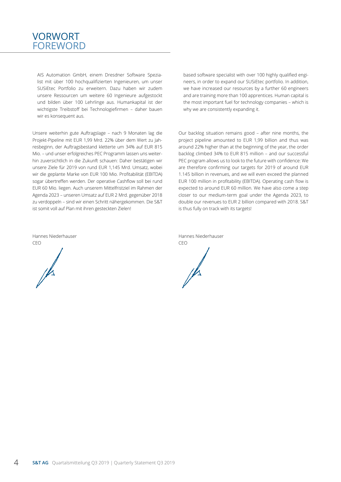

AIS Automation GmbH, einem Dresdner Software Spezialist mit über 100 hochqualifizierten Ingenieuren, um unser SUSiEtec Portfolio zu erweitern. Dazu haben wir zudem unsere Ressourcen um weitere 60 Ingenieure aufgestockt und bilden über 100 Lehrlinge aus. Humankapital ist der wichtigste Treibstoff bei Technologiefirmen – daher bauen wir es konsequent aus.

Unsere weiterhin gute Auftragslage – nach 9 Monaten lag die Projekt-Pipeline mit EUR 1,99 Mrd. 22% über dem Wert zu Jahresbeginn, der Auftragsbestand kletterte um 34% auf EUR 815 Mio. – und unser erfolgreiches PEC Programm lassen uns weiterhin zuversichtlich in die Zukunft schauen: Daher bestätigen wir unsere Ziele für 2019 von rund EUR 1,145 Mrd. Umsatz, wobei wir die geplante Marke von EUR 100 Mio. Profitabilität (EBITDA) sogar übertreffen werden. Der operative Cashflow soll bei rund EUR 60 Mio. liegen. Auch unserem Mittelfristziel im Rahmen der Agenda 2023 – unseren Umsatz auf EUR 2 Mrd. gegenüber 2018 zu verdoppeln – sind wir einen Schritt nähergekommen. Die S&T ist somit voll auf Plan mit ihren gesteckten Zielen!

Hannes Niederhauser CEO

based software specialist with over 100 highly qualified engineers, in order to expand our SUSiEtec portfolio. In addition, we have increased our resources by a further 60 engineers and are training more than 100 apprentices. Human capital is the most important fuel for technology companies – which is why we are consistently expanding it.

Our backlog situation remains good – after nine months, the project pipeline amounted to EUR 1,99 billion and thus was around 22% higher than at the beginning of the year, the order backlog climbed 34% to EUR 815 million – and our successful PEC program allows us to look to the future with confidence: We are therefore confirming our targets for 2019 of around EUR 1.145 billion in revenues, and we will even exceed the planned EUR 100 million in profitability (EBITDA). Operating cash flow is expected to around EUR 60 million. We have also come a step closer to our medium-term goal under the Agenda 2023, to double our revenues to EUR 2 billion compared with 2018. S&T is thus fully on track with its targets!

Hannes Niederhauser CEO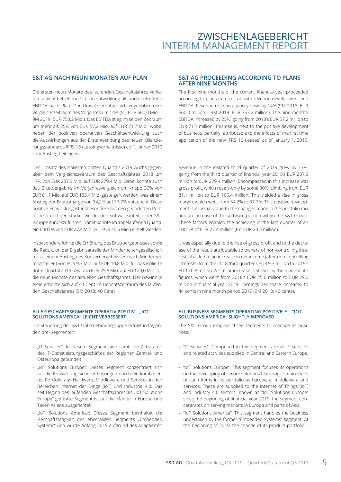### **S&T AG NACH NEUN MONATEN AUF PLAN**

Die ersten neun Monate des laufenden Geschäftsjahres verliefen sowohl betreffend Umsatzentwicklung als auch betreffend EBITDA nach Plan: Der Umsatz erhöhte sich gegenüber dem Vergleichszeitraum des Vorjahres um 14% (Vj.: EUR 660,0 Mio. | 9M 2019: EUR 753,2 Mio.). Das EBITDA stieg im selben Zeitraum um mehr als 25% von EUR 57,2 Mio. auf EUR 71,7 Mio., wobei neben der positiven operativen Geschäftsentwicklung auch die Auswirkungen aus der Erstanwendung des neuen Bilanzierungsstandards IFRS 16 (Leasingverhältnisse) ab 1. Jänner 2019 zum Anstieg beitrugen.

Der Umsatz des isolierten dritten Quartals 2019 wuchs gegenüber dem Vergleichszeitraum des Geschäftsjahres 2018 um 17% von EUR 237,3 Mio. auf EUR 279,4 Mio. Dabei konnte auch das Bruttoergebnis im Vorjahresvergleich um knapp 30% von EUR 81,1 Mio. auf EUR 105,4 Mio. gesteigert werden, was einem Anstieg der Bruttomarge von 34,2% auf 37,7% entspricht. Diese positive Entwicklung ist insbesondere auf den geänderten Portfoliomix und den stärker werdenden Softwareanteil in der S&T Gruppe zurückzuführen. Damit konnte im abgelaufenen Quartal ein EBITDA von EUR 27,4 Mio. (Vj.: EUR 20,5 Mio.) erzielt werden.

Insbesondere führte die Erhöhung des Bruttoergebnisses sowie die Reduktion der Ergebnisanteile der Minderheitengesellschafter zu einem Anstieg des Konzernergebnisses (nach Minderheitenanteilen) von EUR 9,3 Mio. auf EUR 10,8 Mio. für das isolierte dritte Quartal 2019 bzw. von EUR 25,6 Mio. auf EUR 29,0 Mio. für die neun Monate des aktuellen Geschäftsjahres. Der Gewinn je Aktie erhöhte sich auf 44 Cent im Berichtszeitraum des laufenden Geschäftsjahres (9M 2018: 40 Cent).

### **ALLE GESCHÄFTSSEGMENTE OPERATIV POSITIV – "IOT SOLUTIONS AMERICA" LEICHT VERBESSERT**

Die Steuerung der S&T Unternehmensgruppe erfolgt in folgenden drei Segmenten:

- » "IT Services": In diesem Segment sind sämtliche Aktivitäten des IT-Dienstleistungsgeschäftes der Regionen Zentral- und Osteuropa gebündelt.
- › "IoT Solutions Europe": Dieses Segment konzentriert sich auf die Entwicklung sicherer Lösungen durch ein kombiniertes Portfolio aus Hardware, Middleware und Services in den Bereichen Internet der Dinge (IoT) und Industrie 4.0. Das seit Beginn des laufenden Geschäftsjahres als "IoT Solutions Europe" geführte Segment ist auf die Märkte in Europa und Teilen Asiens ausgerichtet.
- › "IoT Solutions America": Dieses Segment beinhaltet die Geschäftstätigkeit des ehemaligen Segments "Embedded Systems" und wurde Anfang 2019 aufgrund des adaptierten

### **S&T AG PROCEEDING ACCORDING TO PLANS AFTER NINE MONTHS**

The first nine months of the current financial year proceeded according to plans in terms of both revenue development and EBITDA. Revenue rose on a y-on-y basis by 14% (9M 2018: EUR 660.0 million | 9M 2019: EUR 753.2 million). The nine months' EBITDA increased by 25%, going from 2018's EUR 57.2 million to EUR 71.7 million. This rise is, next to the positive development of business, partially attributable to the effects of the first time application of the new IFRS 16 (leases) as of January 1, 2019.

Revenue in the isolated third quarter of 2019 grew by 17%, going from the third quarter of financial year 2018's EUR 237.3 million to EUR 279.4 million. Encompassed in this increase was gross profit, which rose y-on-y by some 30%, climbing from EUR 81.1 million to EUR 105.4 million. This yielded a rise in gross margin, which went from 34.2% to 37.7%. This positive development is especially due to the changes made in the portfolio mix and an increase of the software portion within the S&T Group. These factors enabled the achieving in the last quarter of an EBITDA of EUR 27.4 million (PY: EUR 20.5 million).

It was especially due to the rise of gross profit and to the decrease of the result attributable to owners of non-controlling interests that led to an increase in net income (after non-controlling interests) from the 2018 third quarter's EUR 9.3 million to 2019's EUR 10.8 million. A similar increase is shown by the nine month figures, which went from 2018's EUR 25.6 million to EUR 29.0 million in financial year 2019. Earnings per share increased to 44 cents in nine month period 2019 (9M 2018: 40 cents).

### **ALL BUSINESS SEGMENTS OPERATING POSITIVELY – "IOT SOLUTIONS AMERICA" SLIGHTLY IMPROVED**

The S&T Group employs three segments to manage its business:

- › "IT Services": Comprised in this segment are all IT services and related activities supplied in Central and Eastern Europe.
- › "IoT Solutions Europe": This segment focuses its operations on the developing of secure solutions featuring combinations of such items in its portfolio as hardware, middleware and services. These are supplied to the Internet of Things (IoT) and Industry 4.0 sectors. Known as "IoT Solutions Europe" since the beginning of financial year 2019, the segment concentrates on serving markets in Europa and parts of Asia.
- › "IoT Solutions America": This segment handles the business undertaken by the former "Embedded Systems" segment. At the beginning of 2019, the change of its product portfolio –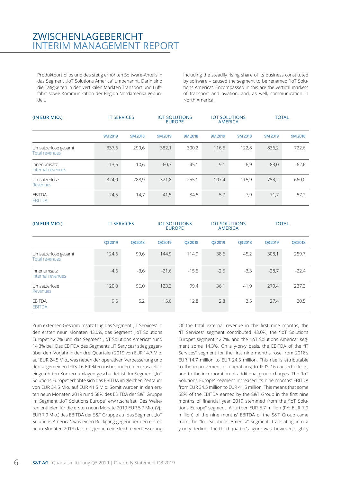Produktportfolios und des stetig erhöhten Software-Anteils in das Segment "IoT Solutions America" umbenannt. Darin sind die Tätigkeiten in den vertikalen Märkten Transport und Luftfahrt sowie Kommunikation der Region Nordamerika gebündelt.

including the steadily rising share of its business constituted by software – caused the segment to be renamed "IoT Solutions America". Encompassed in this are the vertical markets of transport and aviation, and, as well, communication in North America.

| (IN EUR MIO.)                                | <b>IT SERVICES</b> |         | <b>IOT SOLUTIONS</b><br><b>EUROPE</b> |         | <b>IOT SOLUTIONS</b><br><b>AMERICA</b> |         | <b>TOTAL</b> |         |  |
|----------------------------------------------|--------------------|---------|---------------------------------------|---------|----------------------------------------|---------|--------------|---------|--|
|                                              | 9M 2019            | 9M 2018 | 9M 2019                               | 9M 2018 | 9M 2019                                | 9M 2018 | 9M 2019      | 9M 2018 |  |
| Umsatzerlöse gesamt<br><b>Total revenues</b> | 337,6              | 299,6   | 382,1                                 | 300,2   | 116,5                                  | 122,8   | 836,2        | 722,6   |  |
| Innenumsatz<br>Internal revenues             | $-13,6$            | $-10,6$ | $-60,3$                               | $-45,1$ | $-9,1$                                 | $-6,9$  | $-83,0$      | $-62,6$ |  |
| Umsatzerlöse<br><b>Revenues</b>              | 324,0              | 288,9   | 321,8                                 | 255,1   | 107,4                                  | 115,9   | 753,2        | 660,0   |  |
| <b>EBITDA</b><br><b>EBITDA</b>               | 24,5               | 14,7    | 41,5                                  | 34,5    | 5,7                                    | 7,9     | 71,7         | 57,2    |  |

| (IN EUR MIO.)                                |         | <b>IT SERVICES</b> |         | <b>TOTAL</b><br><b>IOT SOLUTIONS</b><br><b>IOT SOLUTIONS</b><br><b>EUROPE</b><br><b>AMERICA</b> |         |         |         |         |
|----------------------------------------------|---------|--------------------|---------|-------------------------------------------------------------------------------------------------|---------|---------|---------|---------|
|                                              | Q3 2019 | Q32018             | Q3 2019 | Q32018                                                                                          | Q3 2019 | Q3 2018 | Q3 2019 | Q3 2018 |
| Umsatzerlöse gesamt<br><b>Total revenues</b> | 124,6   | 99,6               | 144.9   | 114,9                                                                                           | 38,6    | 45,2    | 308,1   | 259,7   |
| Innenumsatz<br>Internal revenues             | $-4,6$  | $-3,6$             | $-21,6$ | $-15,5$                                                                                         | $-2,5$  | $-3,3$  | $-28,7$ | $-22,4$ |
| Umsatzerlöse<br>Revenues                     | 120,0   | 96,0               | 123,3   | 99,4                                                                                            | 36,1    | 41,9    | 279,4   | 237,3   |
| <b>EBITDA</b><br><b>EBITDA</b>               | 9,6     | 5,2                | 15,0    | 12,8                                                                                            | 2,8     | 2,5     | 27,4    | 20,5    |

Zum externen Gesamtumsatz trug das Segment "IT Services" in den ersten neun Monaten 43,0%, das Segment "IoT Solutions Europe" 42,7% und das Segment "IoT Solutions America" rund 14,3% bei. Das EBITDA des Segments "IT Services" stieg gegenüber dem Vorjahr in den drei Quartalen 2019 von EUR 14,7 Mio. auf EUR 24,5 Mio., was neben der operativen Verbesserung und den allgemeinen IFRS 16 Effekten insbesondere den zusätzlich eingeführten Konzernumlagen geschuldet ist. Im Segment "IoT Solutions Europe" erhöhte sich das EBITDA im gleichen Zeitraum von EUR 34,5 Mio. auf EUR 41,5 Mio. Somit wurden in den ersten neun Monaten 2019 rund 58% des EBITDA der S&T Gruppe im Segment "IoT Solutions Europe" erwirtschaftet. Des Weiteren entfielen für die ersten neun Monate 2019 EUR 5,7 Mio. (Vj.: EUR 7,9 Mio.) des EBITDA der S&T Gruppe auf das Segment "IoT Solutions America", was einen Rückgang gegenüber den ersten neun Monaten 2018 darstellt, jedoch eine leichte Verbesserung

Of the total external revenue in the first nine months, the "IT Services" segment contributed 43.0%, the "IoT Solutions Europe" segment 42.7%, and the "IoT Solutions America" segment some 14.3%. On a y-on-y basis, the EBITDA of the "IT Services" segment for the first nine months rose from 2018's EUR 14.7 million to EUR 24.5 million. This rise is attributable to the improvement of operations, to IFRS 16-caused effects, and to the incorporation of additional group charges. The "IoT Solutions Europe" segment increased its nine months' EBITDA from EUR 34.5 million to EUR 41.5 million. This means that some 58% of the EBITDA earned by the S&T Group in the first nine months of financial year 2019 stemmed from the "IoT Solutions Europe" segment. A further EUR 5.7 million (PY: EUR 7.9 million) of the nine months' EBITDA of the S&T Group came from the "IoT Solutions America" segment, translating into a y-on-y decline. The third quarter's figure was, however, slightly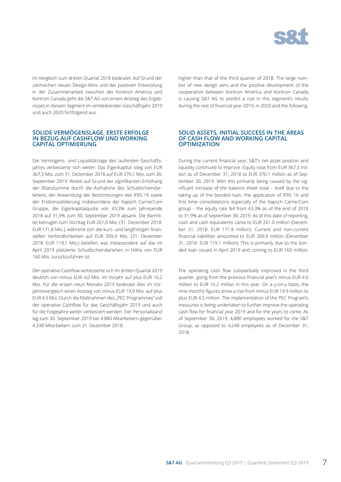

im Vergleich zum dritten Quartal 2018 bedeutet. Auf Grund der zahlreichen neuen Design-Wins und der positiven Entwicklung in der Zusammenarbeit zwischen der Kontron America und Kontron Canada geht die S&T AG von einem Anstieg des Ergebnisses in diesem Segment im verbleibenden Geschäftsjahr 2019 und auch 2020 fortfolgend aus.

**SOLIDE VERMÖGENSLAGE, ERSTE ERFOLGE IN BEZUG AUF CASHFLOW UND WORKING CAPITAL OPTIMIERUNG**

Die Vermögens- und Liquiditätslage des laufenden Geschäftsjahres verbesserte sich weiter: Das Eigenkapital stieg von EUR 367,3 Mio. zum 31. Dezember 2018 auf EUR 370,1 Mio. zum 30. September 2019. Wobei auf Grund der signifikanten Erhöhung der Bilanzsumme durch die Aufnahme des Schuldscheindarlehens, der Anwendung der Bestimmungen des IFRS 16 sowie der Erstkonsolidierung insbesondere der Kapsch CarrierCom Gruppe, die Eigenkapitalquote von 43,3% zum Jahresende 2018 auf 31,9% zum 30. September 2019 absank. Die Barmittel betrugen zum Stichtag EUR 261,0 Mio. (31. Dezember 2018: EUR 171,8 Mio.), während sich die kurz- und langfristigen finanziellen Verbindlichkeiten auf EUR 309,9 Mio. (31. Dezember 2018: EUR 119,1 Mio.) beliefen, was insbesondere auf das im April 2019 platzierte Schuldscheindarlehen in Höhe von EUR 160 Mio. zurückzuführen ist.

Der operative Cashflow verbesserte sich im dritten Quartal 2019 deutlich von minus EUR 4,0 Mio. im Vorjahr auf plus EUR 16,2 Mio. Für die ersten neun Monate 2019 bedeutet dies im Vorjahresvergleich einen Anstieg von minus EUR 19,9 Mio. auf plus EUR 4,5 Mio. Durch die Maßnahmen des "PEC Programmes" soll der operative Cashflow für das Geschäftsjahr 2019 und auch für die Folgejahre weiter verbessert werden. Der Personalstand lag zum 30. September 2019 bei 4.880 Mitarbeitern gegenüber 4.248 Mitarbeitern zum 31. Dezember 2018.

higher than that of the third quarter of 2018. The large number of new design wins and the positive development of the cooperation between Kontron America and Kontron Canada is causing S&T AG to predict a rise in this segment's results during the rest of financial year 2019, in 2020 and the following.

### **SOLID ASSETS, INITIAL SUCCESS IN THE AREAS OF CASH FLOW AND WORKING CAPITAL OPTIMIZATION**

During the current financial year, S&T's net asset position and liquidity continued to improve. Equity rose from EUR 367.3 million as of December 31, 2018 to EUR 370.1 million as of September 30, 2019. With this primarily being caused by the significant increase of the balance sheet total – itself due to the taking up of the bonded loan, the application of IFRS 16 and first time consolidations especially of the Kapsch CarrierCom group – the equity rate fell from 43.3% as of the end of 2018 to 31.9% as of September 30, 2019. As of this date of reporting, cash and cash equivalents came to EUR 261.0 million (December 31, 2018: EUR 171.8 million). Current and non-current financial liabilities amounted to EUR 309,9 million (December 31, 2018: EUR 119.1 million). This is primarily due to the bonded loan issued in April 2019 and coming to EUR 160 million.

The operating cash flow substantially improved in the third quarter, going from the previous financial year's minus EUR 4.0 million to EUR 16.2 million in this year. On a y-on-y basis, the nine months' figures show a rise from minus EUR 19.9 million to plus EUR 4.5 million. The implementation of the PEC Program's measures is being undertaken to further improve the operating cash flow for financial year 2019 and for the years to come. As of September 30, 2019, 4,880 employees worked for the S&T Group, as opposed to 4,248 employees as of December 31, 2018.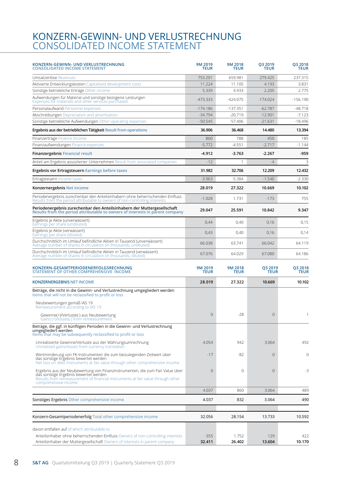# CONSOLIDATED INCOME STATEMENT KONZERN-GEWINN- UND VERLUSTRECHNUNG

| KONZERN-GEWINN- UND VERLUSTRECHNUNG<br><b>CONSOLIDATED INCOME STATEMENT</b>                                                                                                                                                       | 9M 2019<br><b>TEUR</b> | 9M 2018<br><b>TEUR</b> | Q3 2019<br><b>TEUR</b> | Q3 2018<br><b>TEUR</b> |
|-----------------------------------------------------------------------------------------------------------------------------------------------------------------------------------------------------------------------------------|------------------------|------------------------|------------------------|------------------------|
| Umsatzerlöse Revenues                                                                                                                                                                                                             | 753.201                | 659.981                | 279.425                | 237.315                |
| Aktivierte Entwicklungskosten Capitalized development costs                                                                                                                                                                       | 11.224                 | 11.105                 | 4.193                  | 3.831                  |
| Sonstige betriebliche Erträge Other income                                                                                                                                                                                        | 5.339                  | 4.933                  | 2.205                  | 2.775                  |
| Aufwendungen für Material und sonstige bezogene Leistungen<br>Expenses for materials and other services purchased                                                                                                                 | -473.333               | $-424.075$             | $-174.024$             | $-156.190$             |
| Personalaufwand Personnel expenses                                                                                                                                                                                                | $-174.186$             | $-137.351$             | $-62.787$              | $-48.718$              |
| Abschreibungen Depreciation and amortization                                                                                                                                                                                      | $-34.794$              | $-20.719$              | $-12.901$              | $-7.123$               |
| Sonstige betriebliche Aufwendungen Other operating expenses                                                                                                                                                                       | $-50.545$              | $-57.406$              | $-21.631$              | $-18.496$              |
| Ergebnis aus der betrieblichen Tätigkeit Result from operations                                                                                                                                                                   | 36.906                 | 36.468                 | 14.480                 | 13.394                 |
| Finanzerträge Finance income                                                                                                                                                                                                      | 860                    | 788                    | 450                    | 185                    |
| Finanzaufwendungen Finance expenses                                                                                                                                                                                               | $-5.772$               | $-4.551$               | $-2.717$               | $-1.144$               |
| <b>Finanzergebnis Financial result</b>                                                                                                                                                                                            | $-4.912$               | $-3.763$               | $-2.267$               | -959                   |
| Anteil am Ergebnis assoziierter Unternehmen Result from associated companies                                                                                                                                                      | $-12$                  | 1                      | $-4$                   | 3                      |
| <b>Ergebnis vor Ertragsteuern Earnings before taxes</b>                                                                                                                                                                           | 31.982                 | 32.706                 | 12.209                 | 12.432                 |
| Ertragsteuern Income taxes                                                                                                                                                                                                        | $-3.963$               | $-5.384$               | $-1.540$               | $-2.330$               |
| Konzernergebnis Net income                                                                                                                                                                                                        | 28.019                 | 27.322                 | 10.669                 | 10.102                 |
| Periodenergebnis zurechenbar den Anteilsinhabern ohne beherrschenden Einfluss<br>Results from the period attributable to owners of non-controlling interests                                                                      | $-1.028$               | 1.731                  | $-173$                 | 755                    |
| Periodenergebnis zurechenbar den Anteilsinhabern der Muttergesellschaft<br>Results from the period attributable to owners of interests in parent company                                                                          | 29.047                 | 25.591                 | 10.842                 | 9.347                  |
| Ergebnis je Aktie (unverwässert)<br>Earnings per share (undiluted)                                                                                                                                                                | 0,44                   | 0,40                   | 0,16                   | 0,15                   |
| Ergebnis je Aktie (verwässert)<br>Earnings per share (diluted)                                                                                                                                                                    | 0,43                   | 0,40                   | 0,16                   | 0,14                   |
| Durchschnittlich im Umlauf befindliche Aktien in Tausend (unverwässert)<br>Average number of shares in circulation (in thousands, undiluted)                                                                                      | 66.038                 | 63.741                 | 66.042                 | 64.119                 |
| Durchschnittlich im Umlauf befindliche Aktien in Tausend (verwässert)<br>Average number of shares in circulation (in thousands, diluted)                                                                                          | 67.076                 | 64.029                 | 67.080                 | 64.186                 |
| KONZERN-GESAMTPERIODENERFOLGSRECHNUNG<br>STATEMENT OF OTHER COMPREHENSIVE INCOME                                                                                                                                                  | 9M 2019<br><b>TEUR</b> | 9M 2018<br><b>TEUR</b> | Q3 2019<br><b>TEUR</b> | Q3 2018<br><b>TEUR</b> |
| <b>KONZERNERGEBNIS NET INCOME</b>                                                                                                                                                                                                 | 28.019                 | 27.322                 | 10.669                 | 10.102                 |
| Beträge, die nicht in die Gewinn- und Verlustrechnung umgegliedert werden<br>Items that will not be reclassified to profit or loss                                                                                                |                        |                        |                        |                        |
| Neubewertungen gemäß IAS 19<br>Remeasurement according to IAS 19                                                                                                                                                                  |                        |                        |                        |                        |
| Gewinne(+)/Verluste(-) aus Neubewertung<br>Gains (+)/losses(-) from remeasurement                                                                                                                                                 | $\overline{0}$         | $-28$                  | $\mathbf 0$            | 1                      |
| Beträge, die ggf. in künftigen Perioden in die Gewinn- und Verlustrechnung<br>umgegliedert werden<br>Items that may be subsequently reclassified to profit or loss                                                                |                        |                        |                        |                        |
| Unrealisierte Gewinne/Verluste aus der Währungsumrechnung<br>Unrealized gains/losses from currency translation                                                                                                                    | 4.054                  | 942                    | 3.064                  | 492                    |
| Wertminderung von FK-Instrumenten die zum beizulegenden Zeitwert über<br>das sonstige Ergebnis bewertet werden<br>Net loss on debt Instruments at fair value through other comprehensive income                                   | $-17$                  | -82                    | $\overline{0}$         | $\mathbf{0}$           |
| Ergebnis aus der Neubewertung von Finanzinstrumenten, die zum Fair Value über<br>das sonstige Ergebnis bewertet werden<br>Results from remeasurement of financial instruments at fair value through other<br>comprehensive income | 0                      | $\mathbf{0}$           | $\overline{0}$         | $-3$                   |
|                                                                                                                                                                                                                                   | 4.037                  | 860                    | 3.064                  | 489                    |
| Sonstiges Ergebnis Other comprehensive income                                                                                                                                                                                     | 4.037                  | 832                    | 3.064                  | 490                    |
| Konzern-Gesamtperiodenerfolg Total other comprehensive income                                                                                                                                                                     | 32.056                 | 28.154                 | 13.733                 | 10.592                 |
|                                                                                                                                                                                                                                   |                        |                        |                        |                        |
| davon entfallen auf of which attributable to                                                                                                                                                                                      |                        |                        |                        |                        |
| Anteilsinhaber ohne beherrschenden Einfluss Owners of non-controlling interests<br>Anteilsinhaber der Muttergesellschaft Owners of interests in parent company                                                                    | $-355$<br>32.411       | 1.752<br>26.402        | 129<br>13.604          | 422<br>10.170          |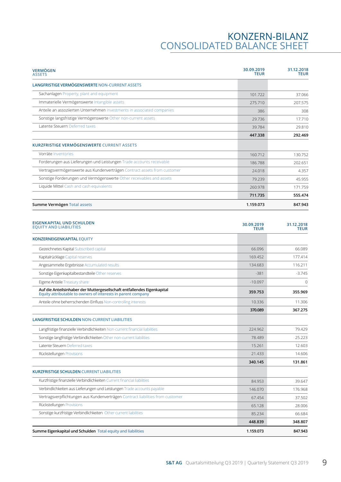# KONZERN-BILANZ CONSOLIDATED BALANCE SHEET

| <b>VERMÖGEN</b><br><b>ASSETS</b>                                         | 30.09.2019<br><b>TEUR</b> | 31.12.2018<br><b>TEUR</b> |
|--------------------------------------------------------------------------|---------------------------|---------------------------|
| LANGFRISTIGE VERMÖGENSWERTE NON-CURRENT ASSETS                           |                           |                           |
| Sachanlagen Property, plant and equipment                                | 101.722                   | 37.066                    |
| Immaterielle Vermögenswerte Intangible assets                            | 275,710                   | 207.575                   |
| Anteile an assoziierten Unternehmen Investments in associated companies  | 386                       | 308                       |
| Sonstige langsfristige Vermögenswerte Other non-current assets           | 29.736                    | 17.710                    |
| Latente Steuern Deferred taxes                                           | 39.784                    | 29.810                    |
|                                                                          | 447.338                   | 292.469                   |
| <b>KURZFRISTIGE VERMÖGENSWERTE CURRENT ASSETS</b>                        |                           |                           |
| Vorräte Inventories                                                      | 160.712                   | 130.752                   |
| Forderungen aus Lieferungen und Leistungen Trade accounts receivable     | 186.788                   | 202.651                   |
| Vertragsvermögenswerte aus Kundenverträgen Contract assets from customer | 24.018                    | 4.357                     |
| Sonstige Forderungen und Vermögenswerte Other receivables and assets     | 79.239                    | 45.955                    |
| Liquide Mittel Cash and cash equivalents                                 | 260.978                   | 171.759                   |
|                                                                          | 711.735                   | 555.474                   |
| Summe Vermögen Total assets                                              | 1.159.073                 | 847.943                   |

| EIGENKAPITAL UND SCHULDEN<br><b>EOUITY AND LIABILITIES</b>                                                                              | 30.09.2019<br><b>TFUR</b> | 31.12.2018<br><b>TEUR</b> |
|-----------------------------------------------------------------------------------------------------------------------------------------|---------------------------|---------------------------|
| <b>KONZERNEIGENKAPITAL EQUITY</b>                                                                                                       |                           |                           |
| Gezeichnetes Kapital Subscribed capital                                                                                                 | 66.096                    | 66.089                    |
| Kapitalrücklage Capital reserves                                                                                                        | 169.452                   | 177.414                   |
| Angesammelte Ergebnisse Accumulated results                                                                                             | 134.683                   | 116.211                   |
| Sonstige Eigenkapitalbestandteile Other reserves                                                                                        | $-381$                    | $-3.745$                  |
| Eigene Anteile Treasury share                                                                                                           | $-10.097$                 | $\Omega$                  |
| Auf die Anteilsinhaber der Muttergesellschaft entfallendes Eigenkapital<br>Equity attributable to owners of interests in parent company | 359.753                   | 355.969                   |
| Anteile ohne beherrschenden Einfluss Non-controlling interests                                                                          | 10.336                    | 11.306                    |
|                                                                                                                                         | 370.089                   | 367.275                   |
| <b>LANGFRISTIGE SCHULDEN NON-CURRENT LIABILITIES</b>                                                                                    |                           |                           |
| Langfristige finanzielle Verbindlichkeiten Non-current financial liabilities                                                            | 224.962                   | 79.429                    |
| Sonstige langfristige Verbindlichkeiten Other non-current liabilities                                                                   | 78.489                    | 25.223                    |
| Latente Steuern Deferred taxes                                                                                                          | 15.261                    | 12.603                    |
| Rückstellungen Provisions                                                                                                               | 21.433                    | 14.606                    |
|                                                                                                                                         | 340.145                   | 131.861                   |
| <b>KURZFRISTIGE SCHULDEN CURRENT LIABILITIES</b>                                                                                        |                           |                           |
| Kurzfristige finanzielle Verbindlichkeiten Current financial liabilities                                                                | 84.953                    | 39.647                    |
| Verbindlichkeiten aus Lieferungen und Leistungen Trade accounts payable                                                                 | 146.070                   | 176.968                   |
| Vertragsverpflichtungen aus Kundenverträgen Contract liabilities from customer                                                          | 67.454                    | 37.502                    |
| Rückstellungen Provisions                                                                                                               | 65.128                    | 28,006                    |
| Sonstige kurzfristige Verbindlichkeiten Other current liabilities                                                                       | 85.234                    | 66.684                    |
|                                                                                                                                         | 448.839                   | 348.807                   |
| Summe Eigenkapital und Schulden Total equity and liabilities                                                                            | 1.159.073                 | 847.943                   |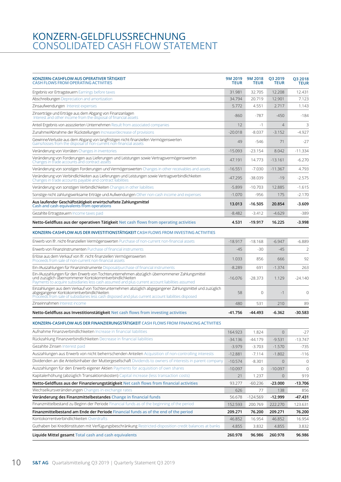# CONSOLIDATED CASH FLOW STATEMENT KONZERN-GELDFLUSSRECHNUNG

| KONZERN-CASHFLOW AUS OPERATIVER TÄTIGKEIT<br><b>CASH FLOWS FROM OPERATING ACTIVITIES</b>                                                                                                                                                                     | 9M 2019<br><b>TEUR</b> | 9M 2018<br><b>TEUR</b> | Q3 2019<br><b>TEUR</b> | Q3 2018<br><b>TEUR</b> |
|--------------------------------------------------------------------------------------------------------------------------------------------------------------------------------------------------------------------------------------------------------------|------------------------|------------------------|------------------------|------------------------|
| Ergebnis vor Ertragsteuern Earnings before taxes                                                                                                                                                                                                             | 31.981                 | 32.705                 | 12.208                 | 12.431                 |
| Abschreibungen Depreciation and amortization                                                                                                                                                                                                                 | 34.794                 | 20.719                 | 12.901                 | 7.123                  |
| Zinsaufwendungen Interest expenses                                                                                                                                                                                                                           | 5.772                  | 4.551                  | 2.717                  | 1.143                  |
| Zinserträge und Erträge aus dem Abgang von Finanzanlagen<br>Interest and other income from the disposal of financial assets                                                                                                                                  | -860                   | $-787$                 | $-450$                 | $-184$                 |
| Anteil Ergebnis von assoziierten Unternehmen Result from associated companies                                                                                                                                                                                | 12                     | $-1$                   | $\overline{4}$         | 3                      |
| Zunahme/Abnahme der Rückstellungen Increase/decrease of provisions                                                                                                                                                                                           | $-20.018$              | $-8.037$               | $-3.152$               | $-4.927$               |
| Gewinne/Verluste aus dem Abgang von langfristigen nicht-finanziellen Vermögenswerten<br>Gains/losses from the disposal of non-current non-financial assets                                                                                                   | 49                     | $-546$                 | 71                     | -27                    |
| Veränderung von Vorräten Changes in inventories                                                                                                                                                                                                              | $-15.093$              | $-23.154$              | 8.042                  | $-11.334$              |
| Veränderung von Forderungen aus Lieferungen und Leistungen sowie Vertragsvermögenswerten<br>Changes in trade accounts and contract assets                                                                                                                    | 47.191                 | 14.773                 | $-13.161$              | $-6.270$               |
| Veränderung von sonstigen Forderungen und Vermögenswerten Changes in other receivables and assets                                                                                                                                                            | $-16.551$              | $-7.030$               | $-11.367$              | 4.793                  |
| Veränderung von Verbindlichkeiten aus Lieferungen und Leistungen sowie Vertragsverbindlichkeiten<br>Changes in trade accounts payable and contract liabilities                                                                                               | $-47.295$              | $-38.039$              | $-19$                  | $-2.575$               |
| Veränderung von sonstigen Verbindlichkeiten Changes in other liabilities                                                                                                                                                                                     | $-5.899$               | $-10.703$              | 12.885                 | $-1.615$               |
| Sonstige nicht zahlungswirksame Erträge und Aufwendungen Other non-cash income and expenses                                                                                                                                                                  | $-1.070$               | $-956$                 | 175                    | $-2.170$               |
| Aus laufender Geschäftstätigkeit erwirtschaftete Zahlungsmittel<br>Cash and cash equivalents from operations                                                                                                                                                 | 13.013                 | $-16.505$              | 20.854                 | -3.609                 |
| Gezahlte Ertragsteuern Income taxes paid                                                                                                                                                                                                                     | $-8.482$               | $-3.412$               | $-4.629$               | $-389$                 |
| Netto-Geldfluss aus der operativen Tätigkeit Net cash flows from operating activities                                                                                                                                                                        | 4.531                  | $-19.917$              | 16.225                 | $-3.998$               |
| KONZERN-CASHFLOW AUS DER INVESTITIONSTÄTIGKEIT CASH FLOWS FROM INVESTING ACTIVITIES                                                                                                                                                                          |                        |                        |                        |                        |
| Erwerb von Ifr. nicht-finanziellen Vermögenswerten Purchase of non-current non-financial assets                                                                                                                                                              | $-18.917$              | $-18.168$              | $-6.947$               | $-6.889$               |
| Erwerb von Finanzinstrumenten Purchase of financial instruments                                                                                                                                                                                              | -45                    | -30                    | $-45$                  | 2                      |
| Erlöse aus dem Verkauf von Ifr. nicht-finanziellen Vermögenswerten<br>Proceeds from sale of non-current non-financial assets                                                                                                                                 | 1.033                  | 856                    | 666                    | 92                     |
| Ein-/Auszahlungen für Finanzinstrumente Disposal/purchase of financial instruments                                                                                                                                                                           | $-8.289$               | 691                    | $-1.374$               | 263                    |
| Ein-/Auszahlungen für den Erwerb von Tochterunternehmen abzüglich übernommener Zahlungsmittel<br>und zuzüglich übernommener Kontokorrentverbindlichkeiten<br>Payments to acquire subsidiaries less cash assumed and plus current account liabilities assumed | $-16.076$              | $-28.373$              | 1.129                  | $-24.140$              |
| Einzahlungen aus dem Verkauf von Tochterunternehmen abzüglich abgegangener Zahlungsmittel und zuzüglich<br>abgegangener Kontokorrentverbindlichkeiten<br>Proceeds from sale of subsidiaries less cash disposed and plus current account liabilities disposed | 58                     | 0                      | $-1$                   | 0                      |
| Zinseinnahmen Interest income                                                                                                                                                                                                                                | 480                    | 531                    | 210                    | 89                     |
| Netto-Geldfluss aus Investitionstätigkeit Net cash flows from investing activities                                                                                                                                                                           | $-41.756$              | $-44.493$              | $-6.362$               | $-30.583$              |
| KONZERN-CASHFLOW AUS DER FINANZIERUNGSTÄTIGKEIT CASH FLOWS FROM FINANCING ACTIVITIES                                                                                                                                                                         |                        |                        |                        |                        |
| Aufnahme Finanzverbindlichkeiten Increase in financial liabilities                                                                                                                                                                                           | 164.923                | 1.824                  | $\mathbf{0}$           | -27                    |
| Rückzahlung Finanzverbindlichkeiten Decrease in financial liabilities                                                                                                                                                                                        | $-34.136$              | -44.179                | $-9.531$               | $-13.747$              |
| Gezahlte Zinsen Interest paid                                                                                                                                                                                                                                | $-3.979$               | $-3.703$               | $-1.570$               | $-735$                 |
| Auszahlungen aus Erwerb von nicht beherrschenden Anteilen Acquisition of non-controlling interests                                                                                                                                                           | $-12.881$              | $-7.114$               | $-1.802$               | $-116$                 |
| Dividenden an die Anteilsinhaber der Muttergesellschaft Dividends to owners of interests in parent company                                                                                                                                                   | $-10.574$              | $-8.301$               | $\overline{0}$         | 0                      |
| Auszahlungen für den Erwerb eigener Aktien Payments for acquisition of own shares                                                                                                                                                                            | $-10.097$              | 0                      | $-10.097$              | $\mathbf{0}$           |
| Kapitalerhöhung (abzüglich Transaktionskosten) Capital increase (less transaction costs)                                                                                                                                                                     | 21                     | 1.237                  | $\mathbf 0$            | 919                    |
| Netto-Geldfluss aus der Finanzierungstätigkeit Net cash flows from financial activities                                                                                                                                                                      | 93.277                 | $-60.236$              | $-23.000$              | $-13.706$              |
| Wechselkursveränderungen Changes in exchange rates                                                                                                                                                                                                           | 626                    | 77                     | 138                    | 856                    |
| Veränderung des Finanzmittelbestandes Change in financial funds                                                                                                                                                                                              | 56.678                 | $-124.569$             | $-12.999$              | -47.431                |
| Finanzmittelbestand zu Beginn der Periode Financial funds as of the beginning of the period                                                                                                                                                                  | 152.593                | 200.769                | 222.270                | 123.631                |
| <b>Finanzmittelbestand am Ende der Periode Financial funds as of the end of the period</b>                                                                                                                                                                   | 209.271                | 76.200                 | 209.271                | 76.200                 |
| Kontokorrentverbindlichkeiten Overdrafts                                                                                                                                                                                                                     | 46.852                 | 16.954                 | 46.852                 | 16.954                 |
| Guthaben bei Kreditinstituten mit Verfügungsbeschränkung Restricted-disposition credit balances at banks                                                                                                                                                     | 4.855                  | 3.832                  | 4.855                  | 3.832                  |
| Liquide Mittel gesamt Total cash and cash equivalents                                                                                                                                                                                                        | 260.978                | 96.986                 | 260.978                | 96.986                 |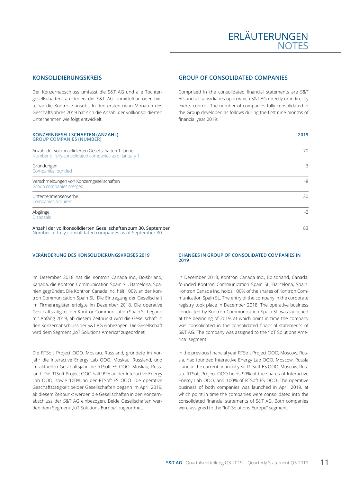**2019**

### **KONSOLIDIERUNGSKREIS**

Der Konzernabschluss umfasst die S&T AG und alle Tochtergesellschaften, an denen die S&T AG unmittelbar oder mittelbar die Kontrolle ausübt. In den ersten neun Monaten des Geschäftsjahres 2019 hat sich die Anzahl der vollkonsolidierten Unternehmen wie folgt entwickelt:

# **KONZERNGESELLSCHAFTEN (ANZAHL)**

### **GROUP OF CONSOLIDATED COMPANIES**

Comprised in the consolidated financial statements are S&T AG and all subsidiaries upon which S&T AG directly or indirectly exerts control. The number of companies fully consolidated in the Group developed as follows during the first nine months of financial year 2019:

| <b>GROUP COMPANIES (NUMBER)</b>                                                                                             |      |
|-----------------------------------------------------------------------------------------------------------------------------|------|
| Anzahl der vollkonsolidierten Gesellschaften 1. Jänner<br>Number of fully-consolidated companies as of January 1            | 70   |
| Gründungen<br>Companies founded                                                                                             | 3    |
| Verschmelzungen von Konzerngesellschaften<br>Group companies merged                                                         | -8   |
| Unternehmenserwerbe<br>Companies acquired                                                                                   | 20   |
| Abgänge<br><b>Disposals</b>                                                                                                 | $-2$ |
| Anzahl der vollkonsolidierten Gesellschaften zum 30. September<br>Number of fully-consolidated companies as of September 30 | 83   |

### **VERÄNDERUNG DES KONSOLIDIERUNGSKREISES 2019**

Im Dezember 2018 hat die Kontron Canada Inc., Boisbriand, Kanada, die Kontron Communication Spain SL, Barcelona, Spanien gegründet. Die Kontron Canada Inc. hält 100% an der Kontron Communication Spain SL. Die Eintragung der Gesellschaft im Firmenregister erfolgte im Dezember 2018. Die operative Geschäftstätigkeit der Kontron Communication Spain SL begann mit Anfang 2019, ab diesem Zeitpunkt wird die Gesellschaft in den Konzernabschluss der S&T AG einbezogen. Die Gesellschaft wird dem Segment "IoT Solutions America" zugeordnet.

Die RTSoft Project OOO, Moskau, Russland, gründete im Vorjahr die Interactive Energy Lab OOO, Moskau, Russland, und im aktuellen Geschäftsjahr die RTSoft-ES OOO, Moskau, Russland. Die RTSoft Project OOO hält 99% an der Interactive Energy Lab OOO, sowie 100% an der RTSoft-ES OOO. Die operative Geschäftstätigkeit beider Gesellschaften begann im April 2019, ab diesem Zeitpunkt werden die Gesellschaften in den Konzernabschluss der S&T AG einbezogen. Beide Gesellschaften werden dem Segment "IoT Solutions Europe" zugeordnet.

### **CHANGES IN GROUP OF CONSOLIDATED COMPANIES IN 2019**

In December 2018, Kontron Canada Inc., Boisbriand, Canada, founded Kontron Communication Spain SL, Barcelona, Spain. Kontron Canada Inc. holds 100% of the shares of Kontron Communication Spain SL. The entry of the company in the corporate registry took place in December 2018. The operative business conducted by Kontron Communication Spain SL was launched at the beginning of 2019, at which point in time the company was consolidated in the consolidated financial statements of S&T AG. The company was assigned to the "IoT Solutions America" segment.

In the previous financial year RTSoft Project OOO, Moscow, Russia, had founded Interactive Energy Lab OOO, Moscow, Russia – and in the current financial year RTSoft-ES OOO, Moscow, Russia. RTSoft Project OOO holds 99% of the shares of Interactive Energy Lab OOO, and 100% of RTSoft-ES OOO. The operative business of both companies was launched in April 2019, at which point in time the companies were consolidated into the consolidated financial statements of S&T AG. Both companies were assigned to the "IoT Solutions Europe" segment.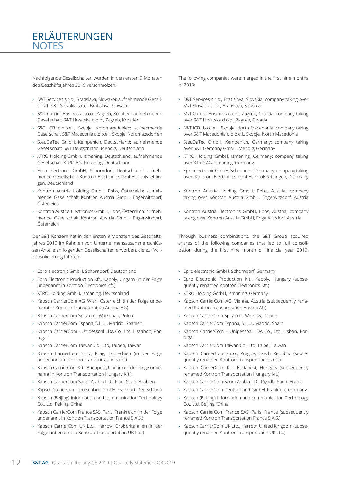Nachfolgende Gesellschaften wurden in den ersten 9 Monaten des Geschäftsjahres 2019 verschmolzen:

- › S&T Services s.r.o., Bratislava, Slowakei: aufnehmende Gesellschaft S&T Slovakia s.r.o., Bratislava, Slowakei
- › S&T Carrier Business d.o.o., Zagreb, Kroatien: aufnehmende Gesellschaft S&T Hrvatska d.o.o., Zagreb, Kroatien
- › S&T ICB d.o.o.e.l., Skopje, Nordmazedonien: aufnehmende Gesellschaft S&T Macedonia d.o.o.e.l., Skopje, Nordmazedonien
- › SteuDaTec GmbH, Kempenich, Deutschland: aufnehmende Gesellschaft S&T Deutschland, Mendig, Deutschland
- › XTRO Holding GmbH, Ismaning, Deutschland: aufnehmende Gesellschaft XTRO AG, Ismaning, Deutschland
- › Epro electronic GmbH, Schorndorf, Deutschland: aufnehmende Gesellschaft Kontron Electronics GmbH, Großbettlingen, Deutschland
- › Kontron Austria Holding GmbH, Ebbs, Österreich: aufnehmende Gesellschaft Kontron Austria GmbH, Engerwitzdorf, Österreich
- › Kontron Austria Electronics GmbH, Ebbs, Österreich: aufnehmende Gesellschaft Kontron Austria GmbH, Engerwitzdorf, Österreich

Der S&T Konzern hat in den ersten 9 Monaten des Geschäftsjahres 2019 im Rahmen von Unternehmenszusammenschlüssen Anteile an folgenden Gesellschaften erworben, die zur Vollkonsolidierung führten:

- › Epro electronic GmbH, Schorndorf, Deutschland
- › Epro Electronic Production Kft., Kapoly, Ungarn (in der Folge unbenannt in Kontron Electronics Kft.)
- › XTRO Holding GmbH, Ismaning, Deutschland
- › Kapsch CarrierCom AG, Wien, Österreich (in der Folge unbenannt in Kontron Transportation Austria AG)
- › Kapsch CarrierCom Sp. z o.o., Warschau, Polen
- › Kapsch CarrierCom Espana, S.L.U., Madrid, Spanien
- › Kapsch CarrierCom Unipessoal LDA Co., Ltd, Lissabon, Portugal
- › Kapsch CarrierCom Taiwan Co., Ltd, Taipeh, Taiwan
- › Kapsch CarrierCom s.r.o., Prag, Tschechien (in der Folge unbenannt in Kontron Transportation s.r.o.)
- › Kapsch CarrierCom Kft., Budapest, Ungarn (in der Folge unbenannt in Kontron Transportation Hungary Kft.)
- › Kapsch CarrierCom Saudi Arabia LLC, Riad, Saudi-Arabien

Co., Ltd, Peking, China

- › Kapsch CarrierCom Deutschland GmbH, Frankfurt, Deutschland › Kapsch (Beijing) Information and communication Technology
- › Kapsch CarrierCom France SAS, Paris, Frankreich (in der Folge unbenannt in Kontron Transportation France S.A.S.)
- › Kapsch CarrierCom UK Ltd., Harrow, Großbritannien (in der Folge unbenannt in Kontron Transportation UK Ltd.)

The following companies were merged in the first nine months of 2019:

- › S&T Services s.r.o., Bratislava, Slovakia: company taking over S&T Slovakia s.r.o., Bratislava, Slovakia
- › S&T Carrier Business d.o.o., Zagreb, Croatia: company taking over S&T Hrvatska d.o.o., Zagreb, Croatia
- › S&T ICB d.o.o.e.l., Skopje, North Macedonia: company taking over S&T Macedonia d.o.o.e.l., Skopje, North Macedonia
- › SteuDaTec GmbH, Kempenich, Germany: company taking over S&T Germany GmbH, Mendig, Germany
- › XTRO Holding GmbH, Ismaning, Germany: company taking over XTRO AG, Ismaning, Germany
- › Epro electronic GmbH, Schorndorf, Germany: company taking over Kontron Electronics GmbH, Großbettlingen, Germany
- › Kontron Austria Holding GmbH, Ebbs, Austria; company taking over Kontron Austria GmbH, Engerwitzdorf, Austria
- › Kontron Austria Electronics GmbH, Ebbs, Austria; company taking over Kontron Austria GmbH, Engerwitzdorf, Austria

Through business combinations, the S&T Group acquired shares of the following companies that led to full consolidation during the first nine month of financial year 2019:

- › Epro electronic GmbH, Schorndorf, Germany
- › Epro Electronic Production Kft., Kapoly, Hungary (subsequently renamed Kontron Electronics Kft.)
- › XTRO Holding GmbH, Ismaning, Germany
- Kapsch CarrierCom AG, Vienna, Austria (subsequently renamed Kontron Transportation Austria AG)
- › Kapsch CarrierCom Sp. z o.o., Warsaw, Poland
- › Kapsch CarrierCom Espana, S.L.U., Madrid, Spain
- › Kapsch CarrierCom Unipessoal LDA Co., Ltd, Lisbon, Portugal
- › Kapsch CarrierCom Taiwan Co., Ltd, Taipei, Taiwan
- Kapsch CarrierCom s.r.o., Prague, Czech Republic (subsequently renamed Kontron Transportation s.r.o.)
- › Kapsch CarrierCom Kft., Budapest, Hungary (subsequently renamed Kontron Transportation Hungary Kft.)
- › Kapsch CarrierCom Saudi Arabia LLC, Riyadh, Saudi Arabia
- › Kapsch CarrierCom Deutschland GmbH, Frankfurt, Germany
- › Kapsch (Beijing) Information and communication Technology Co., Ltd, Beijing, China
- › Kapsch CarrierCom France SAS, Paris, France (subsequently renamed Kontron Transportation France S.A.S.)
- › Kapsch CarrierCom UK Ltd., Harrow, United Kingdom (subsequently renamed Kontron Transportation UK Ltd.)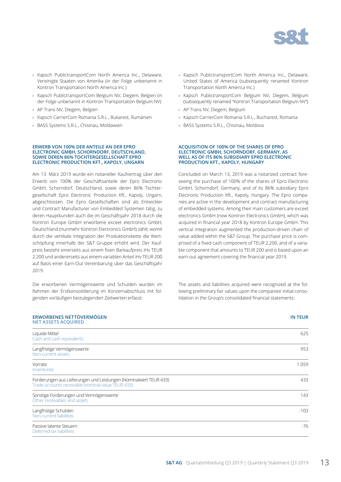

- › Kapsch PublictransportCom North America Inc., Delaware, Vereinigte Staaten von Amerika (in der Folge unbenannt in Kontron Transportation North America Inc.)
- › Kapsch PublictransportCom Belgium NV, Diegem, Belgien (in der Folge unbenannt in Kontron Transportation Belgium NV)
- › AP Trans NV, Diegem, Belgien
- › Kapsch CarrierCom Romania S.R.L., Bukarest, Rumänien
- › BASS Systems S.R.L., Chisinau, Moldawien

#### **ERWERB VON 100% DER ANTEILE AN DER EPRO ELECTRONIC GMBH, SCHORNDORF, DEUTSCHLAND, SOWIE DEREN 86% TOCHTERGESELLSCHAFT EPRO ELECTRONIC PRODUCTION KFT., KAPOLY, UNGARN**

Am 13. März 2019 wurde ein notarieller Kaufvertrag über den Erwerb von 100% der Geschäftsanteile der Epro Electronic GmbH, Schorndorf, Deutschland, sowie deren 86% Tochtergesellschaft Epro Electronic Production Kft., Kapoly, Ungarn, abgeschlossen. Die Epro Gesellschaften sind als Entwickler und Contract Manufacturer von Embedded Systemen tätig, zu deren Hauptkunden auch die im Geschäftsjahr 2018 durch die Kontron Europe GmbH erworbene exceet electronics GmbH, Deutschland (nunmehr Kontron Electronics GmbH) zählt, womit durch die vertikale Integration der Produktionskette die Wertschöpfung innerhalb der S&T Gruppe erhöht wird. Der Kaufpreis besteht einerseits aus einem fixen Barkaufpreis iHv TEUR 2.200 und andererseits aus einem variablen Anteil iHv TEUR 200 auf Basis einer Earn-Out Vereinbarung über das Geschäftsjahr 2019.

Die erworbenen Vermögenswerte und Schulden wurden im Rahmen der Erstkonsolidierung im Konzernabschluss mit folgenden vorläufigen beizulegenden Zeitwerten erfasst:

- › Kapsch PublictransportCom North America Inc., Delaware, United States of America (subsequently renamed Kontron Transportation North America Inc.)
- › Kapsch PublictransportCom Belgium NV, Diegem, Belgium (subsequently renamed "Kontron Transportation Belgium NV")
- › AP Trans NV, Diegem, Belgium
- › Kapsch CarrierCom Romania S.R.L., Bucharest, Romania
- › BASS Systems S.R.L., Chisinau, Moldova

#### **ACQUISITION OF 100% OF THE SHARES OF EPRO ELECTRONIC GMBH, SCHORNDORF, GERMANY, AS WELL AS OF ITS 86% SUBSIDIARY EPRO ELECTRONIC PRODUCTION KFT., KAPOLY, HUNGARY**

Concluded on March 13, 2019 was a notarized contract foreseeing the purchase of 100% of the shares of Epro Electronic GmbH, Schorndorf, Germany, and of its 86% subsidiary Epro Electronic Production Kft., Kapoly, Hungary. The Epro companies are active in the development and contract manufacturing of embedded systems. Among their main customers are exceet electronics GmbH (now Kontron Electronics GmbH), which was acquired in financial year 2018 by Kontron Europe GmbH. This vertical integration augmented the production-driven chain of value added within the S&T Group. The purchase price is comprised of a fixed cash component of TEUR 2,200, and of a variable component that amounts to TEUR 200 and is based upon an earn-out agreement covering the financial year 2019.

The assets and liabilities acquired were recognized at the following preliminary fair values upon the companies' initial consolidation in the Group's consolidated financial statements:

| <b>ERWORBENES NETTOVERMÖGEN</b><br><b>NET ASSETS ACQUIRED</b>                                                           | <b>IN TEUR</b> |
|-------------------------------------------------------------------------------------------------------------------------|----------------|
| Liquide Mittel<br>Cash and cash equivalents                                                                             | 625            |
| Langfristige Vermögenswerte<br>Non-current assets                                                                       | 953            |
| Vorräte<br>Inventories                                                                                                  | 1.059          |
| Forderungen aus Lieferungen und Leistungen (Nominalwert TEUR 433)<br>Trade accounts receivable (nominal value TEUR 433) | 433            |
| Sonstige Forderungen und Vermögenswerte<br>Other receivables and assets                                                 | 143            |
| Langfristige Schulden<br>Non-current liabilities                                                                        | $-103$         |
| Passive latente Steuern<br>Deferred tax liabilities                                                                     | $-76$          |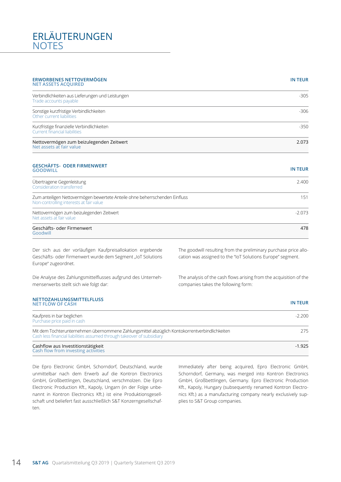| <b>ERWORBENES NETTOVERMÖGEN</b><br><b>NET ASSETS ACQUIRED</b>                                                          | <b>IN TEUR</b> |
|------------------------------------------------------------------------------------------------------------------------|----------------|
| Verbindlichkeiten aus Lieferungen und Leistungen<br>Trade accounts payable                                             | $-305$         |
| Sonstige kurzfristige Verbindlichkeiten<br>Other current liabilities                                                   | $-306$         |
| Kurzfristige finanzielle Verbindlichkeiten<br><b>Current financial liabilities</b>                                     | $-350$         |
| Nettovermögen zum beizulegenden Zeitwert<br>Net assets at fair value                                                   | 2.073          |
| <b>GESCHÄFTS- ODER FIRMENWERT</b><br><b>GOODWILL</b>                                                                   | <b>IN TEUR</b> |
| Übertragene Gegenleistung<br>Consideration transferred                                                                 | 2.400          |
| Zum anteiligen Nettovermögen bewertete Anteile ohne beherrschenden Einfluss<br>Non-controlling interests at fair value | 151            |
| Nettovermögen zum beizulegenden Zeitwert<br>Net assets at fair value                                                   | $-2.073$       |
| Geschäfts- oder Firmenwert<br>Goodwill                                                                                 | 478            |

Der sich aus der vorläufigen Kaufpreisallokation ergebende Geschäfts- oder Firmenwert wurde dem Segment "IoT Solutions Europe" zugeordnet.

Die Analyse des Zahlungsmittelflusses aufgrund des Unternehmenserwerbs stellt sich wie folgt dar:

The goodwill resulting from the preliminary purchase price allocation was assigned to the "IoT Solutions Europe" segment.

The analysis of the cash flows arising from the acquisition of the companies takes the following form:

| <b>NETTOZAHLUNGSMITTELFLUSS</b><br><b>NET FLOW OF CASH</b>                                                                                                              | <b>IN TEUR</b> |
|-------------------------------------------------------------------------------------------------------------------------------------------------------------------------|----------------|
| Kaufpreis in bar beglichen<br>Purchase price paid in cash                                                                                                               | $-2.200$       |
| Mit dem Tochterunternehmen übernommene Zahlungsmittel abzüglich Kontokorrentverbindlichkeiten<br>Cash less financial liabilities assumed through takeover of subsidiary | 275            |
| Cashflow aus Investitionstätigkeit<br>Cash flow from investing activities                                                                                               | $-1.925$       |

Die Epro Electronic GmbH, Schorndorf, Deutschland, wurde unmittelbar nach dem Erwerb auf die Kontron Electronics GmbH, Großbettlingen, Deutschland, verschmolzen. Die Epro Electronic Production Kft., Kapoly, Ungarn (in der Folge unbenannt in Kontron Electronics Kft.) ist eine Produktionsgesellschaft und beliefert fast ausschließlich S&T Konzerngesellschaften.

Immediately after being acquired, Epro Electronic GmbH, Schorndorf, Germany, was merged into Kontron Electronics GmbH, Großbettlingen, Germany. Epro Electronic Production Kft., Kapoly, Hungary (subsequently renamed Kontron Electronics Kft.) as a manufacturing company nearly exclusively supplies to S&T Group companies.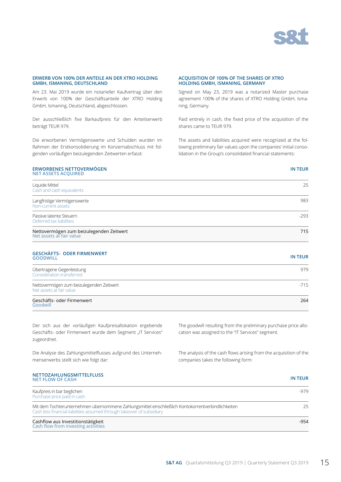

**IN TEUR**

#### **ERWERB VON 100% DER ANTEILE AN DER XTRO HOLDING GMBH, ISMANING, DEUTSCHLAND**

Am 23. Mai 2019 wurde ein notarieller Kaufvertrag über den Erwerb von 100% der Geschäftsanteile der XTRO Holding GmbH, Ismaning, Deutschland, abgeschlossen.

Der ausschließlich fixe Barkaufpreis für den Anteilserwerb beträgt TEUR 979.

Die erworbenen Vermögenswerte und Schulden wurden im Rahmen der Erstkonsolidierung im Konzernabschluss mit folgenden vorläufigen beizulegenden Zeitwerten erfasst:

#### **ERWORBENES NETTOVERMÖGEN NET ASSETS ACQUIRED**

## **ACQUISITION OF 100% OF THE SHARES OF XTRO HOLDING GMBH, ISMANING, GERMANY**

Signed on May 23, 2019 was a notarized Master purchase agreement 100% of the shares of XTRO Holding GmbH, Ismaning, Germany.

Paid entirely in cash, the fixed price of the acquisition of the shares came to TEUR 979.

The assets and liabilities acquired were recognized at the following preliminary fair values upon the companies' initial consolidation in the Group's consolidated financial statements:

| Liquide Mittel<br>Cash and cash equivalents                          | 25             |
|----------------------------------------------------------------------|----------------|
| Langfristige Vermögenswerte<br>Non-current assets                    | 983            |
| Passive latente Steuern<br>Deferred tax liabilities                  | $-293$         |
| Nettovermögen zum beizulegenden Zeitwert<br>Net assets at fair value | 715            |
| <b>GESCHÄFTS- ODER FIRMENWERT</b><br><b>GOODWILL</b>                 | <b>IN TEUR</b> |
| Übertragene Gegenleistung<br>Consideration transferred               | 979            |
| Nettovermögen zum beizulegenden Zeitwert<br>Net assets at fair value | $-715$         |
| Geschäfts- oder Firmenwert<br>Goodwill                               | 264            |

Der sich aus der vorläufigen Kaufpreisallokation ergebende Geschäfts- oder Firmenwert wurde dem Segment "IT Services" zugeordnet.

Die Analyse des Zahlungsmittelflusses aufgrund des Unternehmenserwerbs stellt sich wie folgt dar:

The goodwill resulting from the preliminary purchase price allocation was assigned to the "IT Services" segment.

The analysis of the cash flows arising from the acquisition of the companies takes the following form:

# **NETTOZAHLUNGSMITTELFLUSS**

| <b>NET FLOW OF CASH</b>                                                                                                                                                      | <b>IN TEUR</b> |
|------------------------------------------------------------------------------------------------------------------------------------------------------------------------------|----------------|
| Kaufpreis in bar beglichen<br>Purchase price paid in cash                                                                                                                    | $-979$         |
| Mit dem Tochterunternehmen übernommene Zahlungsmittel einschließlich Kontokorrentverbindlichkeiten<br>Cash less financial liabilities assumed through takeover of subsidiary | 25             |
| Cashflow aus Investitionstätigkeit<br>Cash flow from investing activities                                                                                                    | $-954$         |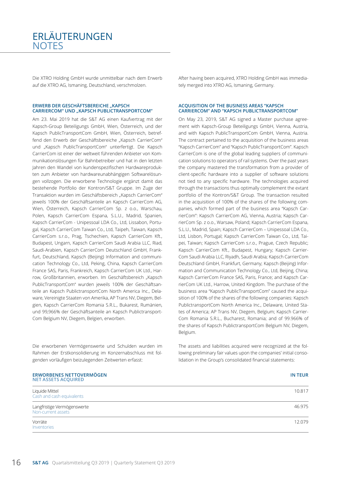Die XTRO Holding GmbH wurde unmittelbar nach dem Erwerb auf die XTRO AG, Ismaning, Deutschland, verschmolzen.

#### **ERWERB DER GESCHÄFTSBEREICHE "KAPSCH CARRIERCOM" UND "KAPSCH PUBLICTRANSPORTCOM"**

Am 23. Mai 2019 hat die S&T AG einen Kaufvertrag mit der Kapsch-Group Beteiligungs GmbH, Wien, Österreich, und der Kapsch PublicTransportCom GmbH, Wien, Österreich, betreffend den Erwerb der Geschäftsbereiche "Kapsch CarrierCom" und "Kapsch PublicTransportCom" unterfertigt. Die Kapsch CarrierCom ist einer der weltweit führenden Anbieter von Kommunikationslösungen für Bahnbetreiber und hat in den letzten Jahren den Wandel von kundenspezifischen Hardwareprodukten zum Anbieter von hardwareunabhängigen Softwarelösungen vollzogen. Die erworbene Technologie ergänzt damit das bestehende Portfolio der Kontron/S&T Gruppe. Im Zuge der Transaktion wurden im Geschäftsbereich "Kapsch CarrierCom" jeweils 100% der Geschäftsanteile an Kapsch CarrierCom AG, Wien, Österreich, Kapsch CarrierCom Sp. z o.o., Warschau, Polen, Kapsch CarrierCom Espana, S.L.U., Madrid, Spanien, Kapsch CarrierCom - Unipessoal LDA Co., Ltd, Lissabon, Portugal, Kapsch CarrierCom Taiwan Co., Ltd, Taipeh, Taiwan, Kapsch CarrierCom s.r.o., Prag, Tschechien, Kapsch CarrierCom Kft., Budapest, Ungarn, Kapsch CarrierCom Saudi Arabia LLC, Riad, Saudi-Arabien, Kapsch CarrierCom Deutschland GmbH, Frankfurt, Deutschland, Kapsch (Beijing) Information and communication Technology Co., Ltd, Peking, China, Kapsch CarrierCom France SAS, Paris, Frankreich, Kapsch CarrierCom UK Ltd., Harrow, Großbritannien, erworben. Im Geschäftsbereich "Kapsch PublicTransportCom" wurden jeweils 100% der Geschäftsanteile an Kapsch PublictransportCom North America Inc., Delaware, Vereinigte Staaten von Amerika, AP Trans NV, Diegem, Belgien, Kapsch CarrierCom Romania S.R.L., Bukarest, Rumänien, und 99,966% der Geschäftsanteile an Kapsch Publictransport-Com Belgium NV, Diegem, Belgien, erworben.

Die erworbenen Vermögenswerte und Schulden wurden im Rahmen der Erstkonsolidierung im Konzernabschluss mit folgenden vorläufigen beizulegenden Zeitwerten erfasst:

After having been acquired, XTRO Holding GmbH was immediately merged into XTRO AG, Ismaning, Germany.

#### **ACQUISITION OF THE BUSINESS AREAS "KAPSCH CARRIERCOM" AND "KAPSCH PUBLICTRANSPORTCOM"**

On May 23, 2019, S&T AG signed a Master purchase agreement with Kapsch-Group Beteiligungs GmbH, Vienna, Austria, and with Kapsch PublicTransportCom GmbH, Vienna, Austria. The contract pertained to the acquisition of the business areas "Kapsch CarrierCom" and "Kapsch PublicTransportCom". Kapsch CarrierCom is one of the global leading suppliers of communication solutions to operators of rail systems. Over the past years the company mastered the transformation from a provider of client-specific hardware into a supplier of software solutions not tied to any specific hardware. The technologies acquired through the transactions thus optimally complement the extant portfolio of the Kontron/S&T Group. The transaction resulted in the acquisition of 100% of the shares of the following companies, which formed part of the business area "Kapsch CarrierCom": Kapsch CarrierCom AG, Vienna, Austria; Kapsch CarrierCom Sp. z o.o., Warsaw, Poland; Kapsch CarrierCom Espana, S.L.U., Madrid, Spain; Kapsch CarrierCom – Unipessoal LDA Co., Ltd, Lisbon, Portugal; Kapsch CarrierCom Taiwan Co., Ltd, Taipei, Taiwan; Kapsch CarrierCom s.r.o., Prague, Czech Republic; Kapsch CarrierCom Kft., Budapest, Hungary; Kapsch Carrier-Com Saudi Arabia LLC, Riyadh, Saudi Arabia; Kapsch CarrierCom Deutschland GmbH, Frankfurt, Germany; Kapsch (Beijing) Information and Communication Technology Co., Ltd, Beijing, China; Kapsch CarrierCom France SAS, Paris, France; and Kapsch CarrierCom UK Ltd., Harrow, United Kingdom. The purchase of the business area "Kapsch PublicTransportCom" caused the acquisition of 100% of the shares of the following companies: Kapsch PublictransportCom North America Inc., Delaware, United States of America; AP Trans NV, Diegem, Belgium; Kapsch Carrier-Com Romania S.R.L., Bucharest, Romania; and of 99.966% of the shares of Kapsch PublictransportCom Belgium NV, Diegem, Belgium.

The assets and liabilities acquired were recognized at the following preliminary fair values upon the companies' initial consolidation in the Group's consolidated financial statements:

**IN TEUR**

| 10.817 |
|--------|
| 46.975 |
| 12.079 |
|        |

**ERWORBENES NETTOVERMÖGEN**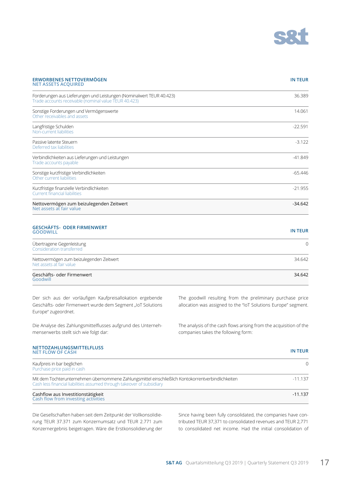

| <b>ERWORBENES NETTOVERMÖGEN</b><br><b>NET ASSETS ACQUIRED</b>                                                                 | <b>IN TEUR</b> |
|-------------------------------------------------------------------------------------------------------------------------------|----------------|
| Forderungen aus Lieferungen und Leistungen (Nominalwert TEUR 40.423)<br>Trade accounts receivable (nominal value TEUR 40.423) | 36.389         |
| Sonstige Forderungen und Vermögenswerte<br>Other receivables and assets                                                       | 14.061         |
| Langfristige Schulden<br>Non-current liabilities                                                                              | $-22.591$      |
| Passive latente Steuern<br>Deferred tax liabilities                                                                           | $-3.122$       |
| Verbindlichkeiten aus Lieferungen und Leistungen<br>Trade accounts payable                                                    | $-41.849$      |
| Sonstige kurzfristige Verbindlichkeiten<br>Other current liabilities                                                          | $-65.446$      |
| Kurzfristige finanzielle Verbindlichkeiten<br><b>Current financial liabilities</b>                                            | $-21.955$      |
| Nettovermögen zum beizulegenden Zeitwert<br>Net assets at fair value                                                          | $-34.642$      |
| <b>GESCHÄFTS- ODER FIRMENWERT</b><br><b>GOODWILL</b>                                                                          | <b>IN TEUR</b> |
| Übertragene Gegenleistung                                                                                                     | 0              |

| Consideration transferred                                            |        |
|----------------------------------------------------------------------|--------|
| Nettovermögen zum beizulegenden Zeitwert<br>Net assets at fair value | 34.642 |
| Geschäfts- oder Firmenwert<br>Goodwill                               | 34.642 |

Der sich aus der vorläufigen Kaufpreisallokation ergebende Geschäfts- oder Firmenwert wurde dem Segment "IoT Solutions Europe" zugeordnet.

Die Analyse des Zahlungsmittelflusses aufgrund des Unternehmenserwerbs stellt sich wie folgt dar:

The goodwill resulting from the preliminary purchase price allocation was assigned to the "IoT Solutions Europe" segment.

The analysis of the cash flows arising from the acquisition of the companies takes the following form:

| <b>NETTOZAHLUNGSMITTELFLUSS</b><br><b>NET FLOW OF CASH</b>                                                                                                                   | <b>IN TEUR</b> |
|------------------------------------------------------------------------------------------------------------------------------------------------------------------------------|----------------|
| Kaufpreis in bar beglichen<br>Purchase price paid in cash                                                                                                                    | $\Omega$       |
| Mit dem Tochterunternehmen übernommene Zahlungsmittel einschließlich Kontokorrentverbindlichkeiten<br>Cash less financial liabilities assumed through takeover of subsidiary | $-11.137$      |
| Cashflow aus Investitionstätigkeit<br>Cash flow from investing activities                                                                                                    | $-11.137$      |

Die Gesellschaften haben seit dem Zeitpunkt der Vollkonsolidierung TEUR 37.371 zum Konzernumsatz und TEUR 2.771 zum Konzernergebnis beigetragen. Wäre die Erstkonsolidierung der

Since having been fully consolidated, the companies have contributed TEUR 37,371 to consolidated revenues and TEUR 2,771 to consolidated net income. Had the initial consolidation of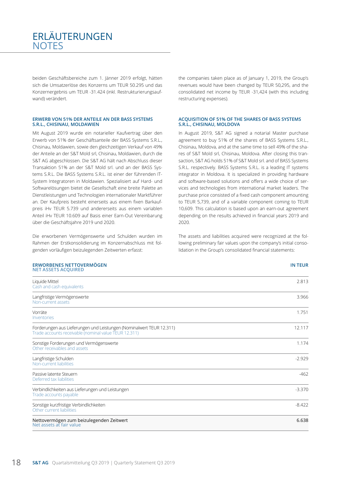beiden Geschäftsbereiche zum 1. Jänner 2019 erfolgt, hätten sich die Umsatzerlöse des Konzerns um TEUR 50.295 und das Konzernergebnis um TEUR -31.424 (inkl. Restrukturierungsaufwand) verändert.

#### **ERWERB VON 51% DER ANTEILE AN DER BASS SYSTEMS S.R.L., CHISINAU, MOLDAWIEN**

Mit August 2019 wurde ein notarieller Kaufvertrag über den Erwerb von 51% der Geschäftsanteile der BASS Systems S.R.L., Chisinau, Moldawien, sowie den gleichzeitigen Verkauf von 49% der Anteile an der S&T Mold srl, Chisinau, Moldawien, durch die S&T AG abgeschlossen. Die S&T AG hält nach Abschluss dieser Transaktion 51% an der S&T Mold srl. und an der BASS Systems S.R.L. Die BASS Systems S.R.L. ist einer der führenden IT-System Integratoren in Moldawien. Spezialisiert auf Hard- und Softwarelösungen bietet die Gesellschaft eine breite Palette an Dienstleistungen und Technologien internationaler Marktführer an. Der Kaufpreis besteht einerseits aus einem fixen Barkaufpreis iHv TEUR 5.739 und andererseits aus einem variablen Anteil iHv TEUR 10.609 auf Basis einer Earn-Out Vereinbarung über die Geschäftsjahre 2019 und 2020.

Die erworbenen Vermögenswerte und Schulden wurden im Rahmen der Erstkonsolidierung im Konzernabschluss mit folgenden vorläufigen beizulegenden Zeitwerten erfasst:

#### **ERWORBENES NETTOVERMÖGEN NET ASSETS ACQUIRED**

the companies taken place as of January 1, 2019, the Group's revenues would have been changed by TEUR 50,295, and the consolidated net income by TEUR -31,424 (with this including restructuring expenses).

#### **ACQUISITION OF 51% OF THE SHARES OF BASS SYSTEMS S.R.L., CHISINAU, MOLDOVA**

In August 2019, S&T AG signed a notarial Master purchase agreement to buy 51% of the shares of BASS Systems S.R.L., Chisinau, Moldova, and at the same time to sell 49% of the shares of S&T Mold srl, Chisinau, Moldova. After closing this transaction, S&T AG holds 51% of S&T Mold srl. and of BASS Systems S.R.L. respectively. BASS Systems S.R.L. is a leading IT systems integrator in Moldova. It is specialized in providing hardware and software-based solutions and offers a wide choice of services and technologies from international market leaders. The purchase price consisted of a fixed cash component amounting to TEUR 5,739, and of a variable component coming to TEUR 10,609. This calculation is based upon an earn-out agreement depending on the results achieved in financial years 2019 and 2020.

The assets and liabilities acquired were recognized at the following preliminary fair values upon the company's initial consolidation in the Group's consolidated financial statements:

#### **IN TEUR**

| Liquide Mittel<br>Cash and cash equivalents                                                                                   | 2.813    |
|-------------------------------------------------------------------------------------------------------------------------------|----------|
| Langfristige Vermögenswerte<br>Non-current assets                                                                             | 3.966    |
| Vorräte<br>Inventories                                                                                                        | 1.751    |
| Forderungen aus Lieferungen und Leistungen (Nominalwert TEUR 12.311)<br>Trade accounts receivable (nominal value TEUR 12.311) | 12.117   |
| Sonstige Forderungen und Vermögenswerte<br>Other receivables and assets                                                       | 1.174    |
| Langfristige Schulden<br>Non-current liabilities                                                                              | $-2.929$ |
| Passive latente Steuern<br>Deferred tax liabilities                                                                           | $-462$   |
| Verbindlichkeiten aus Lieferungen und Leistungen<br>Trade accounts payable                                                    | $-3.370$ |
| Sonstige kurzfristige Verbindlichkeiten<br>Other current liabilities                                                          | $-8.422$ |
| Nettovermögen zum beizulegenden Zeitwert<br>Net assets at fair value                                                          | 6.638    |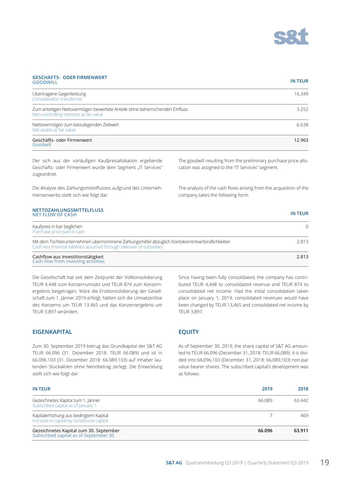

#### **GESCHÄFTS- ODER FIRMENWERT GOODWILL IN TEUR**

 $\Omega$ 

2.813

2.813

| Übertragene Gegenleistung<br>Consideration transferred                                                                 | 16.349   |
|------------------------------------------------------------------------------------------------------------------------|----------|
| Zum anteiligen Nettovermögen bewertete Anteile ohne beherrschenden Einfluss<br>Non-controlling interests at fair value | 3.252    |
| Nettovermögen zum beizulegenden Zeitwert<br>Net assets at fair value                                                   | $-6.638$ |
| Geschäfts- oder Firmenwert<br>Goodwill                                                                                 | 12.963   |

Der sich aus der vorläufigen Kaufpreisallokation ergebende Geschäfts- oder Firmenwert wurde dem Segment "IT Services" zugeordnet.

Die Analyse des Zahlungsmittelflusses aufgrund des Unternehmenserwerbs stellt sich wie folgt dar:

### The goodwill resulting from the preliminary purchase price allocation was assigned to the "IT Services" segment.

The analysis of the cash flows arising from the acquisition of the company takes the following form:

| NETTOZAHLUNGSMITTELFLUSS<br><b>NET FLOW OF CASH</b>                                                                                                                     | <b>IN TEUR</b> |
|-------------------------------------------------------------------------------------------------------------------------------------------------------------------------|----------------|
| Kaufpreis in bar beglichen<br>Purchase price paid in cash                                                                                                               |                |
| Mit dem Tochterunternehmen übernommene Zahlungsmittel abzüglich Kontokorrentverbindlichkeiten<br>Cash less financial liabilities assumed through takeover of subsidiary | 2.813          |
| Cashflow aus Investitionstätigkeit                                                                                                                                      | 2.813          |

Cash flow from investing activities

Die Gesellschaft hat seit dem Zeitpunkt der Vollkonsolidierung TEUR 4.448 zum Konzernumsatz und TEUR 874 zum Konzernergebnis beigetragen. Wäre die Erstkonsolidierung der Gesellschaft zum 1. Jänner 2019 erfolgt, hätten sich die Umsatzerlöse des Konzerns um TEUR 13.465 und das Konzernergebnis um TEUR 3.897 verändert.

## **EIGENKAPITAL**

 $\overline{\phantom{a}}$ 

Zum 30. September 2019 betrug das Grundkapital der S&T AG TEUR 66.096 (31. Dezember 2018: TEUR 66.089) und ist in 66.096.103 (31. Dezember 2018: 66.089.103) auf Inhaber lautenden Stückaktien ohne Nennbetrag zerlegt. Die Entwicklung stellt sich wie folgt dar:

Since having been fully consolidated, the company has contributed TEUR 4,448 to consolidated revenue and TEUR 874 to consolidated net income. Had the initial consolidation taken place on January 1, 2019, consolidated revenues would have been changed by TEUR 13,465 and consolidated net income by TEUR 3,897.

# **EQUITY**

As of September 30, 2019, the share capital of S&T AG amounted to TEUR 66,096 (December 31, 2018: TEUR 66,089). It is divided into 66,096,103 (December 31, 2018: 66,089,103) non-par value bearer shares. The subscribed capital's development was as follows:

| <b>IN TEUR</b>                                                                      | 2019   | 2018   |
|-------------------------------------------------------------------------------------|--------|--------|
| Gezeichnetes Kapital zum 1. Jänner<br>Subscribed capital as of January 1            | 66.089 | 63 442 |
| Kapitalerhöhung aus bedingtem Kapital<br>Increase in capital by conditional capital |        | 469    |
| Gezeichnetes Kapital zum 30. September<br>Subscribed capital as of September 30     | 66.096 | 63.911 |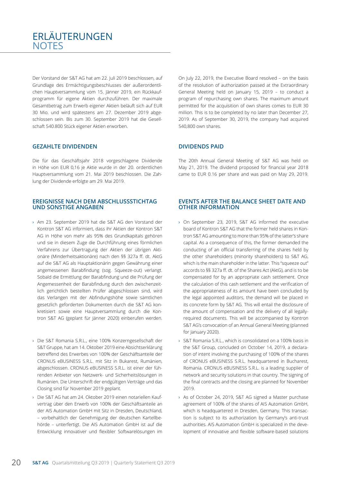Der Vorstand der S&T AG hat am 22. Juli 2019 beschlossen, auf Grundlage des Ermächtigungsbeschlusses der außerordentlichen Hauptversammlung vom 15. Jänner 2019, ein Rückkaufprogramm für eigene Aktien durchzuführen. Der maximale Gesamtbetrag zum Erwerb eigener Aktien beläuft sich auf EUR 30 Mio. und wird spätestens am 27. Dezember 2019 abgeschlossen sein. Bis zum 30. September 2019 hat die Gesellschaft 540.800 Stück eigener Aktien erworben.

### **GEZAHLTE DIVIDENDEN**

Die für das Geschäftsjahr 2018 vorgeschlagene Dividende in Höhe von EUR 0,16 je Aktie wurde in der 20. ordentlichen Hauptversammlung vom 21. Mai 2019 beschlossen. Die Zahlung der Dividende erfolgte am 29. Mai 2019.

### **EREIGNISSE NACH DEM ABSCHLUSSSTICHTAG UND SONSTIGE ANGABEN**

- › Am 23. September 2019 hat die S&T AG den Vorstand der Kontron S&T AG informiert, dass ihr Aktien der Kontron S&T AG in Höhe von mehr als 95% des Grundkapitals gehören und sie in diesem Zuge die Durchführung eines förmlichen Verfahrens zur Übertragung der Aktien der übrigen Aktionäre (Minderheitsaktionäre) nach den §§ 327a ff. dt. AktG auf die S&T AG als Hauptaktionärin gegen Gewährung einer angemessenen Barabfindung (sog. Squeeze-out) verlangt. Sobald die Ermittlung der Barabfindung und die Prüfung der Angemessenheit der Barabfindung durch den zwischenzeitlich gerichtlich bestellten Prüfer abgeschlossen sind, wird das Verlangen mit der Abfindungshöhe sowie sämtlichen gesetzlich geforderten Dokumenten durch die S&T AG konkretisiert sowie eine Hauptversammlung durch die Kontron S&T AG (geplant für Jänner 2020) einberufen werden.
- › Die S&T Romania S.R.L., eine 100% Konzerngesellschaft der S&T Gruppe, hat am 14. Oktober 2019 eine Absichtserklärung betreffend des Erwerbes von 100% der Geschäftsanteile der CRONUS eBUSINESS S.R.L. mit Sitz in Bukarest, Rumänien, abgeschlossen. CRONUS eBUSINESS S.R.L. ist einer der führenden Anbieter von Netzwerk- und Sicherheitslösungen in Rumänien. Die Unterschrift der endgültigen Verträge und das Closing sind für November 2019 geplant.
- › Die S&T AG hat am 24. Oktober 2019 einen notariellen Kaufvertrag über den Erwerb von 100% der Geschäftsanteile an der AIS Automation GmbH mit Sitz in Dresden, Deutschland, – vorbehaltlich der Genehmigung der deutschen Kartellbehörde – unterfertigt. Die AIS Automation GmbH ist auf die Entwicklung innovativer und flexibler Softwarelösungen im

On July 22, 2019, the Executive Board resolved – on the basis of the resolution of authorization passed at the Extraordinary General Meeting held on January 15, 2019 – to conduct a program of repurchasing own shares. The maximum amount permitted for the acquisition of own shares comes to EUR 30 million. This is to be completed by no later than December 27, 2019. As of September 30, 2019, the company had acquired 540,800 own shares.

### **DIVIDENDS PAID**

The 20th Annual General Meeting of S&T AG was held on May 21, 2019. The dividend proposed for financial year 2018 came to EUR 0.16 per share and was paid on May 29, 2019.

### **EVENTS AFTER THE BALANCE SHEET DATE AND OTHER INFORMATION**

- › On September 23, 2019, S&T AG informed the executive board of Kontron S&T AG that the former held shares in Kontron S&T AG amounting to more than 95% of the latter's share capital. As a consequence of this, the former demanded the conducting of an official transferring of the shares held by the other shareholders (minority shareholders) to S&T AG, which is the main shareholder in the latter. This "squeeze out" accords to §§ 327a ff. dt. of the Shares Act (AktG), and is to be compensated for by an appropriate cash settlement. Once the calculation of this cash settlement and the verification of the appropriateness of its amount have been concluded by the legal appointed auditors, the demand will be placed in its concrete form by S&T AG. This will entail the disclosure of the amount of compensation and the delivery of all legallyrequired documents. This will be accompanied by Kontron S&T AG's convocation of an Annual General Meeting (planned for January 2020).
- › S&T Romania S.R.L., which is consolidated on a 100% basis in the S&T Group, concluded on October 14, 2019, a declaration of intent involving the purchasing of 100% of the shares of CRONUS eBUSINESS S.R.L. headquartered in Bucharest, Romania. CRONUS eBUSINESS S.R.L. is a leading supplier of network and security solutions in that country. The signing of the final contracts and the closing are planned for November 2019.
- › As of October 24, 2019, S&T AG signed a Master purchase agreement of 100% of the shares of AIS Automation GmbH, which is headquartered in Dresden, Germany. This transaction is subject to its authorization by Germany's anti-trust authorities. AIS Automation GmbH is specialized in the development of innovative and flexible software-based solutions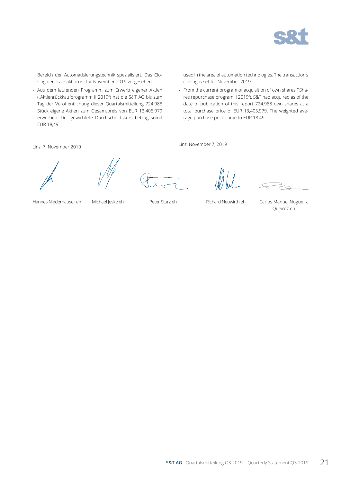

Bereich der Automatisierungstechnik spezialisiert. Das Closing der Transaktion ist für November 2019 vorgesehen.

› Aus dem laufenden Programm zum Erwerb eigener Aktien ("Aktienrückkaufprogramm II 2019") hat die S&T AG bis zum Tag der Veröffentlichung dieser Quartalsmitteilung 724.988 Stück eigene Aktien zum Gesamtpreis von EUR 13.405.979 erworben. Der gewichtete Durchschnittskurs betrug somit EUR 18,49.

Linz, 7. November 2019

used in the area of automation technologies. The transaction's

› From the current program of acquisition of own shares ("Shares repurchase program II 2019"), S&T had acquired as of the date of publication of this report 724.988 own shares at a total purchase price of EUR 13,405,979. The weighted ave-

closing is set for November 2019.

rage purchase price came to EUR 18.49.

Linz, November 7, 2019

Hannes Niederhauser eh Michael Jeske eh Peter Sturz eh Richard Neuwirth eh Carlos Manuel Nogueira

Queiroz eh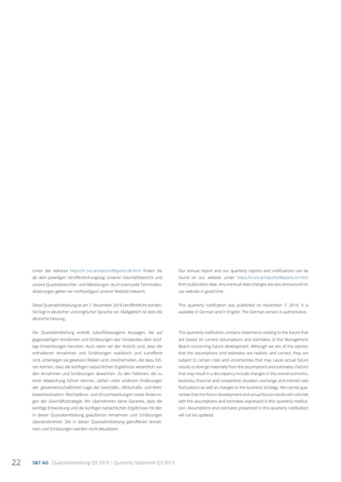Unter der Adresse https://ir.snt.at/reports/Reports.de.html finden Sie ab dem jeweiligen Veröffentlichungstag unseren Geschäftsbericht und unsere Quartalsberichte- und Mitteilungen. Auch eventuelle Terminaktualisierungen geben wir rechtzeitigauf unserer Website bekannt.

Diese Quartalsmitteilung ist am 7. November 2019 veröffentlicht worden. Sie liegt in deutscher und englischer Sprache vor. Maßgeblich ist stets die deutsche Fassung.

Die Quartalsmitteilung enthält zukunftsbezogene Aussagen, die auf gegenwärtigen Annahmen und Schätzungen des Vorstandes über künftige Entwicklungen beruhen. Auch wenn wir der Ansicht sind, dass die enthaltenen Annahmen und Schätzungen realistisch und zutreffend sind, unterliegen sie gewissen Risiken und Unsicherheiten, die dazu führen können, dass die künftigen tatsächlichen Ergebnisse wesentlich von den Annahmen und Schätzungen abweichen. Zu den Faktoren, die zu einer Abweichung führen können, zählen unter anderem Änderungen der gesamtwirtschaftlichen Lage, der Geschäfts-, Wirtschafts- und Wettbewerbssituation, Wechselkurs- und Zinsschwankungen sowie Änderungen der Geschäftsstrategie. Wir übernehmen keine Garantie, dass die künftige Entwicklung und die künftigen tatsächlichen Ergebnisse mit den in dieser Quartalsmitteilung geäußerten Annahmen und Schätzungen übereinstimmen. Die in dieser Quartalsmitteilung getroffenen Annahmen und Schätzungen werden nicht aktualisiert.

Our annual report and our quarterly reports and notifications can be found on our website under https://ir.snt.at/reports/Reports.en.html from publication date. Any eventual date changes are also announced on our website in good time.

This quarterly notification was published on November 7, 2019. It is available in German and in English. The German version is authoritative.

This quarterly notification contains statements relating to the future that are based on current assumptions and estimates of the Management Board concerning future development. Although we are of the opinion that the assumptions and estimates are realistic and correct, they are subject to certain risks and uncertainties that may cause actual future results to diverge materially from the assumptions and estimates. Factors that may result in a discrepancy include changes in the overall economic, business, financial and competitive situation, exchange and interest rate fluctuations as well as changes to the business strategy. We cannot guarantee that the future development and actual future results will coincide with the assumptions and estimates expressed in this quarterly notification. Assumptions and estimates presented in this quarterly notification will not be updated.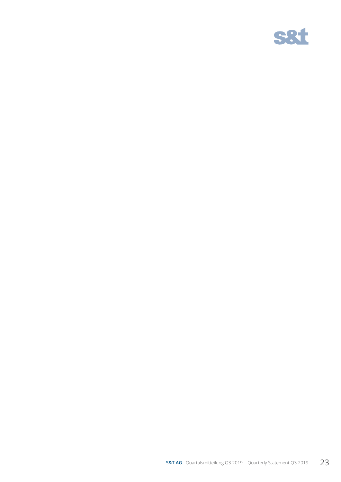